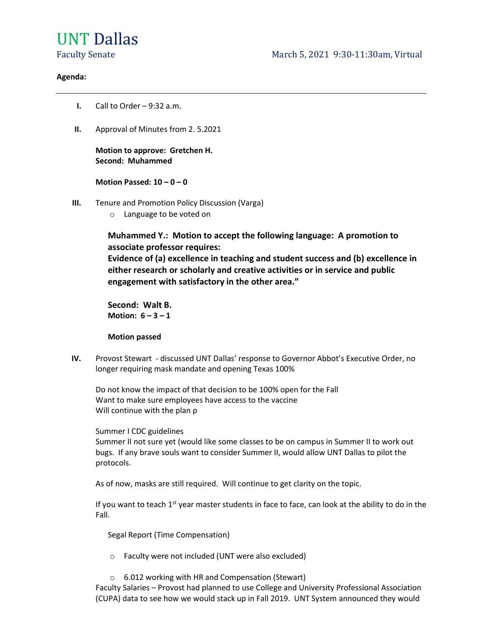# UNT Dallas

## Agenda:

- I. Call to Order 9:32 a.m.
- II. Approval of Minutes from 2. 5.2021

Motion to approve: Gretchen H. Second: Muhammed

## Motion Passed:  $10 - 0 - 0$

- III. Tenure and Promotion Policy Discussion (Varga)
	- o Language to be voted on

Muhammed Y.: Motion to accept the following language: A promotion to associate professor requires:

Evidence of (a) excellence in teaching and student success and (b) excellence in either research or scholarly and creative activities or in service and public engagement with satisfactory in the other area."

Second: Walt B. Motion:  $6 - 3 - 1$ 

## Motion passed

IV. Provost Stewart - discussed UNT Dallas' response to Governor Abbot's Executive Order, no longer requiring mask mandate and opening Texas 100%

 Do not know the impact of that decision to be 100% open for the Fall Want to make sure employees have access to the vaccine Will continue with the plan p

Summer I CDC guidelines

 Summer II not sure yet (would like some classes to be on campus in Summer II to work out bugs. If any brave souls want to consider Summer II, would allow UNT Dallas to pilot the protocols.

As of now, masks are still required. Will continue to get clarity on the topic.

If you want to teach 1<sup>st</sup> year master students in face to face, can look at the ability to do in the Fall.

Segal Report (Time Compensation)

- o Faculty were not included (UNT were also excluded)
- o 6.012 working with HR and Compensation (Stewart)

Faculty Salaries – Provost had planned to use College and University Professional Association (CUPA) data to see how we would stack up in Fall 2019. UNT System announced they would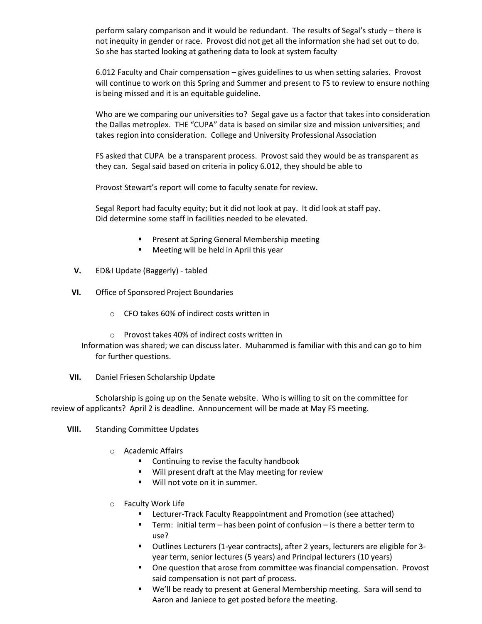perform salary comparison and it would be redundant. The results of Segal's study – there is not inequity in gender or race. Provost did not get all the information she had set out to do. So she has started looking at gathering data to look at system faculty

6.012 Faculty and Chair compensation – gives guidelines to us when setting salaries. Provost will continue to work on this Spring and Summer and present to FS to review to ensure nothing is being missed and it is an equitable guideline.

Who are we comparing our universities to? Segal gave us a factor that takes into consideration the Dallas metroplex. THE "CUPA" data is based on similar size and mission universities; and takes region into consideration. College and University Professional Association

FS asked that CUPA be a transparent process. Provost said they would be as transparent as they can. Segal said based on criteria in policy 6.012, they should be able to

Provost Stewart's report will come to faculty senate for review.

Segal Report had faculty equity; but it did not look at pay. It did look at staff pay. Did determine some staff in facilities needed to be elevated.

- **Present at Spring General Membership meeting**
- **Meeting will be held in April this year**
- V. ED&I Update (Baggerly) tabled
- VI. Office of Sponsored Project Boundaries
	- o CFO takes 60% of indirect costs written in
	- o Provost takes 40% of indirect costs written in

Information was shared; we can discuss later. Muhammed is familiar with this and can go to him for further questions.

VII. Daniel Friesen Scholarship Update

 Scholarship is going up on the Senate website. Who is willing to sit on the committee for review of applicants? April 2 is deadline. Announcement will be made at May FS meeting.

- VIII. Standing Committee Updates
	- o Academic Affairs
		- Continuing to revise the faculty handbook
		- **Will present draft at the May meeting for review**
		- **Will not vote on it in summer.**
	- o Faculty Work Life
		- **E** Lecturer-Track Faculty Reappointment and Promotion (see attached)
		- Term: initial term has been point of confusion is there a better term to use?
		- Outlines Lecturers (1-year contracts), after 2 years, lecturers are eligible for 3 year term, senior lectures (5 years) and Principal lecturers (10 years)
		- One question that arose from committee was financial compensation. Provost said compensation is not part of process.
		- We'll be ready to present at General Membership meeting. Sara will send to Aaron and Janiece to get posted before the meeting.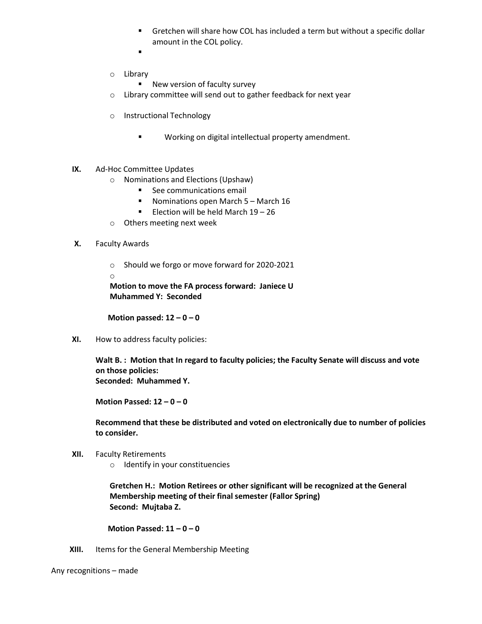- Gretchen will share how COL has included a term but without a specific dollar amount in the COL policy.
- $\blacksquare$  . The contract of the contract of the contract of the contract of the contract of the contract of the contract of the contract of the contract of the contract of the contract of the contract of the contract of the
- o Library
	- **New version of faculty survey**
- o Library committee will send out to gather feedback for next year
- o Instructional Technology
	- **Working on digital intellectual property amendment.**
- IX. Ad-Hoc Committee Updates
	- o Nominations and Elections (Upshaw)
		- **See communications email**
		- Nominations open March 5 March 16
		- Election will be held March  $19 26$
	- o Others meeting next week
- X. Faculty Awards
	- o Should we forgo or move forward for 2020-2021
	- o

Motion to move the FA process forward: Janiece U Muhammed Y: Seconded

Motion passed:  $12 - 0 - 0$ 

XI. How to address faculty policies:

Walt B.: Motion that In regard to faculty policies; the Faculty Senate will discuss and vote on those policies: Seconded: Muhammed Y.

Motion Passed:  $12 - 0 - 0$ 

Recommend that these be distributed and voted on electronically due to number of policies to consider.

- XII. Faculty Retirements
	- o Identify in your constituencies

Gretchen H.: Motion Retirees or other significant will be recognized at the General Membership meeting of their final semester (Fallor Spring) Second: Mujtaba Z.

Motion Passed:  $11 - 0 - 0$ 

XIII. Items for the General Membership Meeting

Any recognitions – made